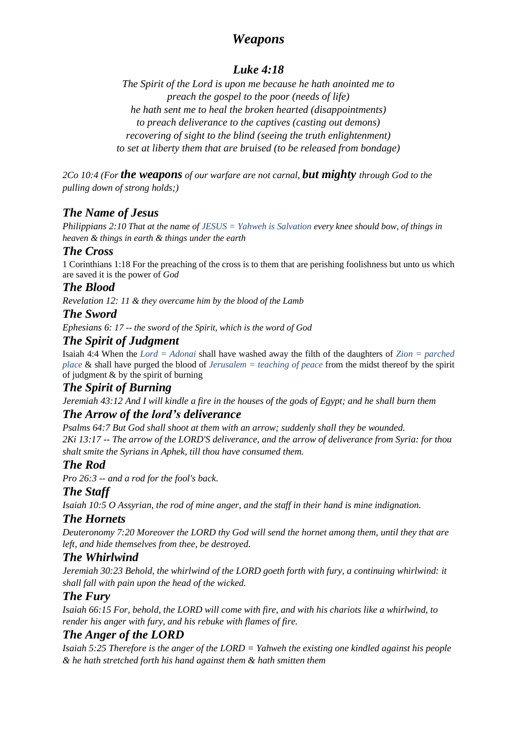# *Luke 4:18*

*The Spirit of the Lord is upon me because he hath anointed me to preach the gospel to the poor (needs of life) he hath sent me to heal the broken hearted (disappointments) to preach deliverance to the captives (casting out demons) recovering of sight to the blind (seeing the truth enlightenment) to set at liberty them that are bruised (to be released from bondage)*

*2Co 10:4 (For the weapons of our warfare are not carnal, but mighty through God to the pulling down of strong holds;)*

# *The Name of Jesus*

*Philippians 2:10 That at the name of JESUS = Yahweh is Salvation every knee should bow, of things in heaven & things in earth & things under the earth*

## *The Cross*

1 Corinthians 1:18 For the preaching of the cross is to them that are perishing foolishness but unto us which are saved it is the power of *God*

### *The Blood*

*Revelation 12: 11 & they overcame him by the blood of the Lamb*

## *The Sword*

*Ephesians 6: 17 -- the sword of the Spirit, which is the word of God*

# *The Spirit of Judgment*

Isaiah 4:4 When the *Lord = Adonai* shall have washed away the filth of the daughters of *Zion = parched place* & shall have purged the blood of *Jerusalem = teaching of peace* from the midst thereof by the spirit of judgment & by the spirit of burning

## *The Spirit of Burning*

*Jeremiah 43:12 And I will kindle a fire in the houses of the gods of Egypt; and he shall burn them*

## *The Arrow of the lord's deliverance*

*Psalms 64:7 But God shall shoot at them with an arrow; suddenly shall they be wounded. 2Ki 13:17 -- The arrow of the LORD'S deliverance, and the arrow of deliverance from Syria: for thou shalt smite the Syrians in Aphek, till thou have consumed them.*

## *The Rod*

*Pro 26:3 -- and a rod for the fool's back.*

## *The Staff*

*Isaiah 10:5 O Assyrian, the rod of mine anger, and the staff in their hand is mine indignation.*

### *The Hornets*

*Deuteronomy 7:20 Moreover the LORD thy God will send the hornet among them, until they that are left, and hide themselves from thee, be destroyed.*

### *The Whirlwind*

*Jeremiah 30:23 Behold, the whirlwind of the LORD goeth forth with fury, a continuing whirlwind: it shall fall with pain upon the head of the wicked.*

### *The Fury*

*Isaiah 66:15 For, behold, the LORD will come with fire, and with his chariots like a whirlwind, to render his anger with fury, and his rebuke with flames of fire.*

### *The Anger of the LORD*

*Isaiah 5:25 Therefore is the anger of the LORD = Yahweh the existing one kindled against his people & he hath stretched forth his hand against them & hath smitten them*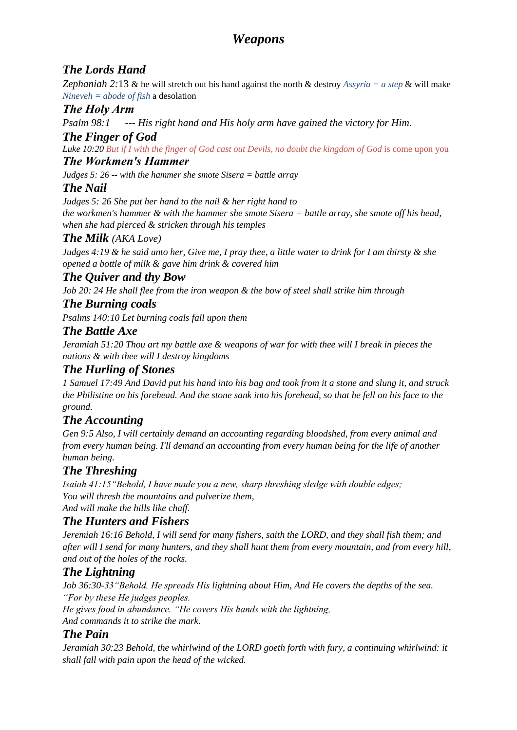# *The Lords Hand*

*Zephaniah 2:*13 & he will stretch out his hand against the north & destroy *Assyria = a step* & will make *Nineveh = abode of fish* a desolation

## *The Holy Arm*

*Psalm 98:1 --- His right hand and His holy arm have gained the victory for Him.*

## *The Finger of God*

*Luke 10:20 But if I with the finger of God cast out Devils, no doubt the kingdom of God* is come upon you

## *The Workmen's Hammer*

*Judges 5: 26 -- with the hammer she smote Sisera = battle array*

# *The Nail*

*Judges 5: 26 She put her hand to the nail & her right hand to the workmen's hammer & with the hammer she smote Sisera = battle array, she smote off his head, when she had pierced & stricken through his temples*

# *The Milk (AKA Love)*

*Judges 4:19 & he said unto her, Give me, I pray thee, a little water to drink for I am thirsty & she opened a bottle of milk & gave him drink & covered him*

# *The Quiver and thy Bow*

*Job 20: 24 He shall flee from the iron weapon & the bow of steel shall strike him through*

## *The Burning coals*

*Psalms 140:10 Let burning coals fall upon them*

## *The Battle Axe*

*Jeramiah 51:20 Thou art my battle axe & weapons of war for with thee will I break in pieces the nations & with thee will I destroy kingdoms*

# *The Hurling of Stones*

*1 Samuel 17:49 And David put his hand into his bag and took from it a stone and slung it, and struck the Philistine on his forehead. And the stone sank into his forehead, so that he fell on his face to the ground.*

# *The Accounting*

*Gen 9:5 Also, I will certainly demand an accounting regarding bloodshed, from every animal and from every human being. I'll demand an accounting from every human being for the life of another human being.*

# *The Threshing*

*Isaiah 41:15"Behold, I have made you a new, sharp threshing sledge with double edges; You will thresh the mountains and pulverize them, And will make the hills like chaff.*

# *The Hunters and Fishers*

*Jeremiah 16:16 Behold, I will send for many fishers, saith the LORD, and they shall fish them; and after will I send for many hunters, and they shall hunt them from every mountain, and from every hill, and out of the holes of the rocks.*

# *The Lightning*

*Job 36:30-33"Behold, He spreads His lightning about Him, And He covers the depths of the sea. "For by these He judges peoples. He gives food in abundance. "He covers His hands with the lightning, And commands it to strike the mark.*

# *The Pain*

*Jeramiah 30:23 Behold, the whirlwind of the LORD goeth forth with fury, a continuing whirlwind: it shall fall with pain upon the head of the wicked.*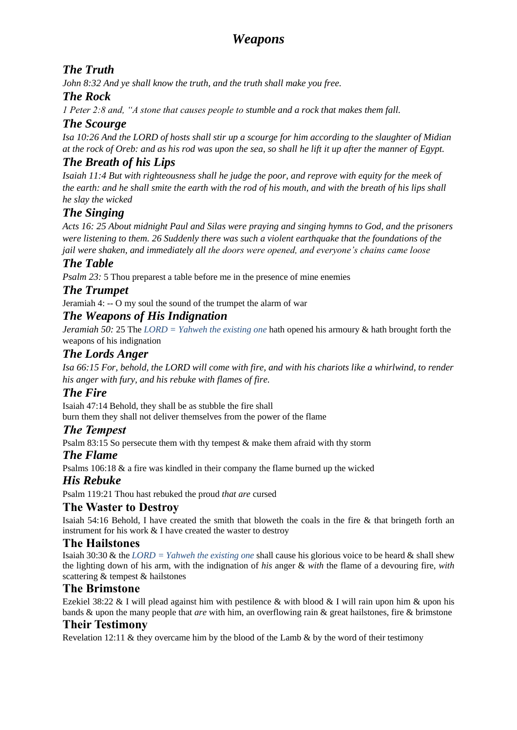# *The Truth*

*John 8:32 And ye shall know the truth, and the truth shall make you free.*

## *The Rock*

*1 Peter 2:8 and, "A stone that causes people to stumble and a rock that makes them fall.*

# *The Scourge*

*Isa 10:26 And the LORD of hosts shall stir up a scourge for him according to the slaughter of Midian at the rock of Oreb: and as his rod was upon the sea, so shall he lift it up after the manner of Egypt.*

## *The Breath of his Lips*

*Isaiah 11:4 But with righteousness shall he judge the poor, and reprove with equity for the meek of the earth: and he shall smite the earth with the rod of his mouth, and with the breath of his lips shall he slay the wicked*

# *The Singing*

*Acts 16: 25 About midnight Paul and Silas were praying and singing hymns to God, and the prisoners were listening to them. 26 Suddenly there was such a violent earthquake that the foundations of the jail were shaken, and immediately all the doors were opened, and everyone's chains came loose*

# *The Table*

*Psalm 23:* 5 Thou preparest a table before me in the presence of mine enemies

## *The Trumpet*

Jeramiah 4: -- O my soul the sound of the trumpet the alarm of war

## *The Weapons of His Indignation*

*Jeramiah 50:* 25 The *LORD = Yahweh the existing one* hath opened his armoury & hath brought forth the weapons of his indignation

## *The Lords Anger*

*Isa 66:15 For, behold, the LORD will come with fire, and with his chariots like a whirlwind, to render his anger with fury, and his rebuke with flames of fire.*

### *The Fire*

Isaiah 47:14 Behold, they shall be as stubble the fire shall burn them they shall not deliver themselves from the power of the flame

## *The Tempest*

Psalm 83:15 So persecute them with thy tempest & make them afraid with thy storm

## *The Flame*

Psalms 106:18 & a fire was kindled in their company the flame burned up the wicked

### *His Rebuke*

Psalm 119:21 Thou hast rebuked the proud *that are* cursed

### **The Waster to Destroy**

Isaiah 54:16 Behold, I have created the smith that bloweth the coals in the fire & that bringeth forth an instrument for his work & I have created the waster to destroy

### **The Hailstones**

Isaiah 30:30 & the *LORD = Yahweh the existing one* shall cause his glorious voice to be heard & shall shew the lighting down of his arm, with the indignation of *his* anger & *with* the flame of a devouring fire, *with* scattering & tempest & hailstones

### **The Brimstone**

Ezekiel 38:22 & I will plead against him with pestilence & with blood & I will rain upon him & upon his bands & upon the many people that *are* with him, an overflowing rain & great hailstones, fire & brimstone

### **Their Testimony**

Revelation 12:11 & they overcame him by the blood of the Lamb & by the word of their testimony